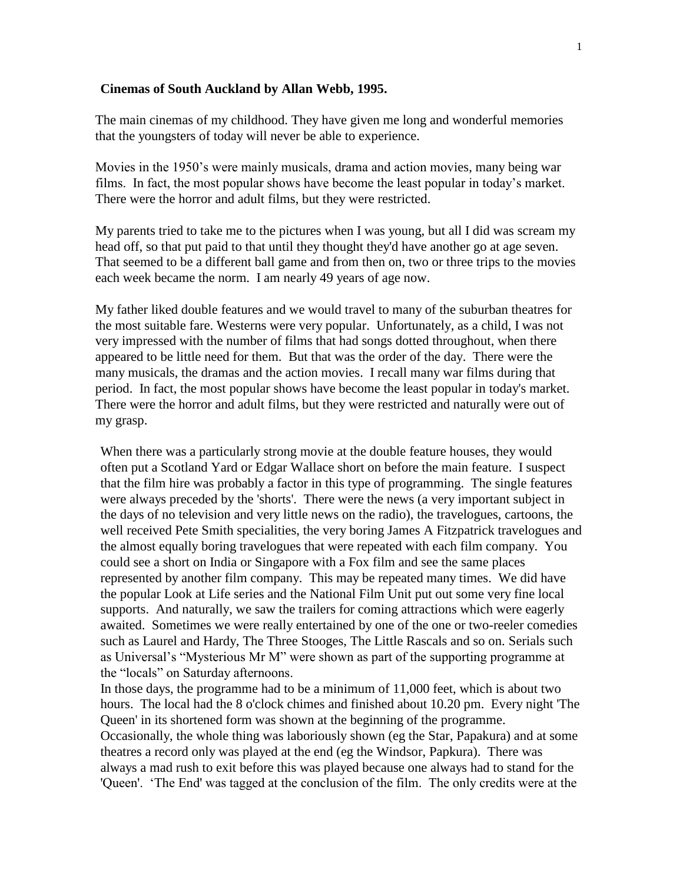## **Cinemas of South Auckland by Allan Webb, 1995.**

The main cinemas of my childhood. They have given me long and wonderful memories that the youngsters of today will never be able to experience.

Movies in the 1950's were mainly musicals, drama and action movies, many being war films. In fact, the most popular shows have become the least popular in today's market. There were the horror and adult films, but they were restricted.

My parents tried to take me to the pictures when I was young, but all I did was scream my head off, so that put paid to that until they thought they'd have another go at age seven. That seemed to be a different ball game and from then on, two or three trips to the movies each week became the norm. I am nearly 49 years of age now.

My father liked double features and we would travel to many of the suburban theatres for the most suitable fare. Westerns were very popular. Unfortunately, as a child, I was not very impressed with the number of films that had songs dotted throughout, when there appeared to be little need for them. But that was the order of the day. There were the many musicals, the dramas and the action movies. I recall many war films during that period. In fact, the most popular shows have become the least popular in today's market. There were the horror and adult films, but they were restricted and naturally were out of my grasp.

When there was a particularly strong movie at the double feature houses, they would often put a Scotland Yard or Edgar Wallace short on before the main feature. I suspect that the film hire was probably a factor in this type of programming. The single features were always preceded by the 'shorts'. There were the news (a very important subject in the days of no television and very little news on the radio), the travelogues, cartoons, the well received Pete Smith specialities, the very boring James A Fitzpatrick travelogues and the almost equally boring travelogues that were repeated with each film company. You could see a short on India or Singapore with a Fox film and see the same places represented by another film company. This may be repeated many times. We did have the popular Look at Life series and the National Film Unit put out some very fine local supports. And naturally, we saw the trailers for coming attractions which were eagerly awaited. Sometimes we were really entertained by one of the one or two-reeler comedies such as Laurel and Hardy, The Three Stooges, The Little Rascals and so on. Serials such as Universal's "Mysterious Mr M" were shown as part of the supporting programme at the "locals" on Saturday afternoons.

In those days, the programme had to be a minimum of 11,000 feet, which is about two hours. The local had the 8 o'clock chimes and finished about 10.20 pm. Every night 'The Queen' in its shortened form was shown at the beginning of the programme. Occasionally, the whole thing was laboriously shown (eg the Star, Papakura) and at some theatres a record only was played at the end (eg the Windsor, Papkura). There was always a mad rush to exit before this was played because one always had to stand for the 'Queen'. 'The End' was tagged at the conclusion of the film. The only credits were at the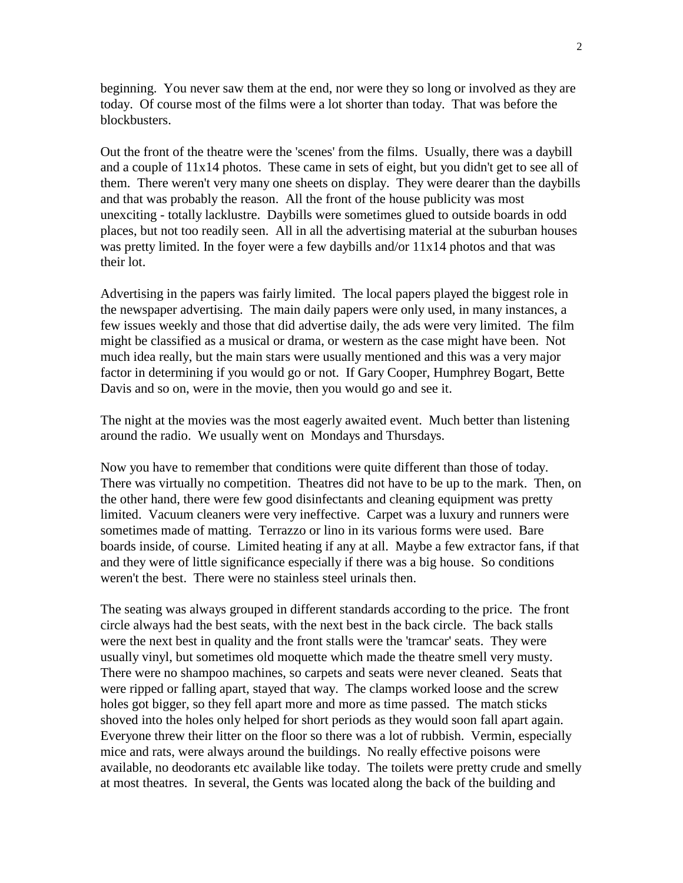beginning. You never saw them at the end, nor were they so long or involved as they are today. Of course most of the films were a lot shorter than today. That was before the blockbusters.

Out the front of the theatre were the 'scenes' from the films. Usually, there was a daybill and a couple of  $11x14$  photos. These came in sets of eight, but you didn't get to see all of them. There weren't very many one sheets on display. They were dearer than the daybills and that was probably the reason. All the front of the house publicity was most unexciting - totally lacklustre. Daybills were sometimes glued to outside boards in odd places, but not too readily seen. All in all the advertising material at the suburban houses was pretty limited. In the foyer were a few daybills and/or 11x14 photos and that was their lot.

Advertising in the papers was fairly limited. The local papers played the biggest role in the newspaper advertising. The main daily papers were only used, in many instances, a few issues weekly and those that did advertise daily, the ads were very limited. The film might be classified as a musical or drama, or western as the case might have been. Not much idea really, but the main stars were usually mentioned and this was a very major factor in determining if you would go or not. If Gary Cooper, Humphrey Bogart, Bette Davis and so on, were in the movie, then you would go and see it.

The night at the movies was the most eagerly awaited event. Much better than listening around the radio. We usually went on Mondays and Thursdays.

Now you have to remember that conditions were quite different than those of today. There was virtually no competition. Theatres did not have to be up to the mark. Then, on the other hand, there were few good disinfectants and cleaning equipment was pretty limited. Vacuum cleaners were very ineffective. Carpet was a luxury and runners were sometimes made of matting. Terrazzo or lino in its various forms were used. Bare boards inside, of course. Limited heating if any at all. Maybe a few extractor fans, if that and they were of little significance especially if there was a big house. So conditions weren't the best. There were no stainless steel urinals then.

The seating was always grouped in different standards according to the price. The front circle always had the best seats, with the next best in the back circle. The back stalls were the next best in quality and the front stalls were the 'tramcar' seats. They were usually vinyl, but sometimes old moquette which made the theatre smell very musty. There were no shampoo machines, so carpets and seats were never cleaned. Seats that were ripped or falling apart, stayed that way. The clamps worked loose and the screw holes got bigger, so they fell apart more and more as time passed. The match sticks shoved into the holes only helped for short periods as they would soon fall apart again. Everyone threw their litter on the floor so there was a lot of rubbish. Vermin, especially mice and rats, were always around the buildings. No really effective poisons were available, no deodorants etc available like today. The toilets were pretty crude and smelly at most theatres. In several, the Gents was located along the back of the building and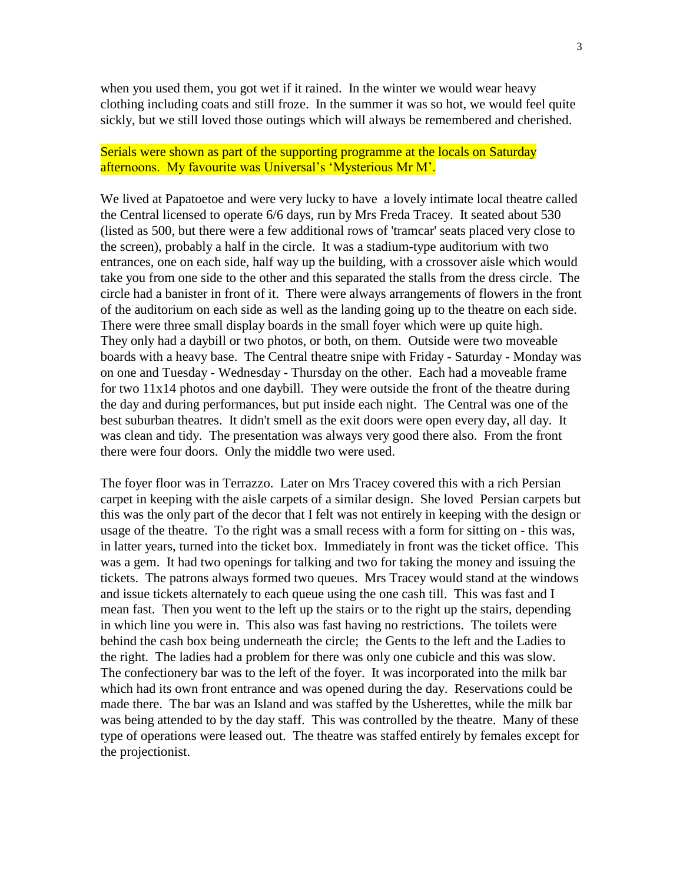when you used them, you got wet if it rained. In the winter we would wear heavy clothing including coats and still froze. In the summer it was so hot, we would feel quite sickly, but we still loved those outings which will always be remembered and cherished.

## Serials were shown as part of the supporting programme at the locals on Saturday afternoons. My favourite was Universal's 'Mysterious Mr M'.

We lived at Papatoetoe and were very lucky to have a lovely intimate local theatre called the Central licensed to operate 6/6 days, run by Mrs Freda Tracey. It seated about 530 (listed as 500, but there were a few additional rows of 'tramcar' seats placed very close to the screen), probably a half in the circle. It was a stadium-type auditorium with two entrances, one on each side, half way up the building, with a crossover aisle which would take you from one side to the other and this separated the stalls from the dress circle. The circle had a banister in front of it. There were always arrangements of flowers in the front of the auditorium on each side as well as the landing going up to the theatre on each side. There were three small display boards in the small foyer which were up quite high. They only had a daybill or two photos, or both, on them. Outside were two moveable boards with a heavy base. The Central theatre snipe with Friday - Saturday - Monday was on one and Tuesday - Wednesday - Thursday on the other. Each had a moveable frame for two 11x14 photos and one daybill. They were outside the front of the theatre during the day and during performances, but put inside each night. The Central was one of the best suburban theatres. It didn't smell as the exit doors were open every day, all day. It was clean and tidy. The presentation was always very good there also. From the front there were four doors. Only the middle two were used.

The foyer floor was in Terrazzo. Later on Mrs Tracey covered this with a rich Persian carpet in keeping with the aisle carpets of a similar design. She loved Persian carpets but this was the only part of the decor that I felt was not entirely in keeping with the design or usage of the theatre. To the right was a small recess with a form for sitting on - this was, in latter years, turned into the ticket box. Immediately in front was the ticket office. This was a gem. It had two openings for talking and two for taking the money and issuing the tickets. The patrons always formed two queues. Mrs Tracey would stand at the windows and issue tickets alternately to each queue using the one cash till. This was fast and I mean fast. Then you went to the left up the stairs or to the right up the stairs, depending in which line you were in. This also was fast having no restrictions. The toilets were behind the cash box being underneath the circle; the Gents to the left and the Ladies to the right. The ladies had a problem for there was only one cubicle and this was slow. The confectionery bar was to the left of the foyer. It was incorporated into the milk bar which had its own front entrance and was opened during the day. Reservations could be made there. The bar was an Island and was staffed by the Usherettes, while the milk bar was being attended to by the day staff. This was controlled by the theatre. Many of these type of operations were leased out. The theatre was staffed entirely by females except for the projectionist.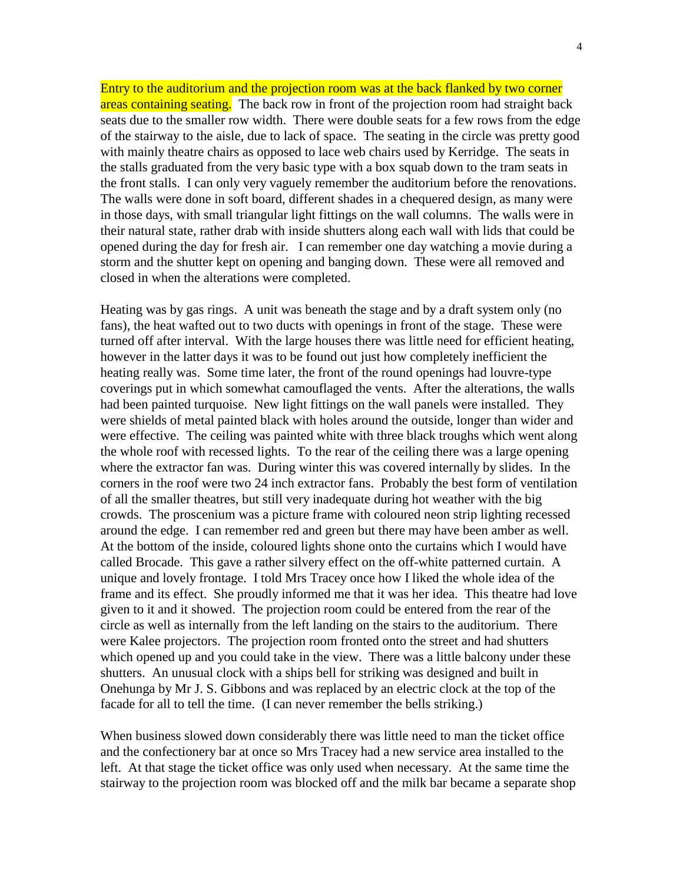Entry to the auditorium and the projection room was at the back flanked by two corner areas containing seating. The back row in front of the projection room had straight back seats due to the smaller row width. There were double seats for a few rows from the edge of the stairway to the aisle, due to lack of space. The seating in the circle was pretty good with mainly theatre chairs as opposed to lace web chairs used by Kerridge. The seats in the stalls graduated from the very basic type with a box squab down to the tram seats in the front stalls. I can only very vaguely remember the auditorium before the renovations. The walls were done in soft board, different shades in a chequered design, as many were in those days, with small triangular light fittings on the wall columns. The walls were in their natural state, rather drab with inside shutters along each wall with lids that could be opened during the day for fresh air. I can remember one day watching a movie during a storm and the shutter kept on opening and banging down. These were all removed and closed in when the alterations were completed.

Heating was by gas rings. A unit was beneath the stage and by a draft system only (no fans), the heat wafted out to two ducts with openings in front of the stage. These were turned off after interval. With the large houses there was little need for efficient heating, however in the latter days it was to be found out just how completely inefficient the heating really was. Some time later, the front of the round openings had louvre-type coverings put in which somewhat camouflaged the vents. After the alterations, the walls had been painted turquoise. New light fittings on the wall panels were installed. They were shields of metal painted black with holes around the outside, longer than wider and were effective. The ceiling was painted white with three black troughs which went along the whole roof with recessed lights. To the rear of the ceiling there was a large opening where the extractor fan was. During winter this was covered internally by slides. In the corners in the roof were two 24 inch extractor fans. Probably the best form of ventilation of all the smaller theatres, but still very inadequate during hot weather with the big crowds. The proscenium was a picture frame with coloured neon strip lighting recessed around the edge. I can remember red and green but there may have been amber as well. At the bottom of the inside, coloured lights shone onto the curtains which I would have called Brocade. This gave a rather silvery effect on the off-white patterned curtain. A unique and lovely frontage. I told Mrs Tracey once how I liked the whole idea of the frame and its effect. She proudly informed me that it was her idea. This theatre had love given to it and it showed. The projection room could be entered from the rear of the circle as well as internally from the left landing on the stairs to the auditorium. There were Kalee projectors. The projection room fronted onto the street and had shutters which opened up and you could take in the view. There was a little balcony under these shutters. An unusual clock with a ships bell for striking was designed and built in Onehunga by Mr J. S. Gibbons and was replaced by an electric clock at the top of the facade for all to tell the time. (I can never remember the bells striking.)

When business slowed down considerably there was little need to man the ticket office and the confectionery bar at once so Mrs Tracey had a new service area installed to the left. At that stage the ticket office was only used when necessary. At the same time the stairway to the projection room was blocked off and the milk bar became a separate shop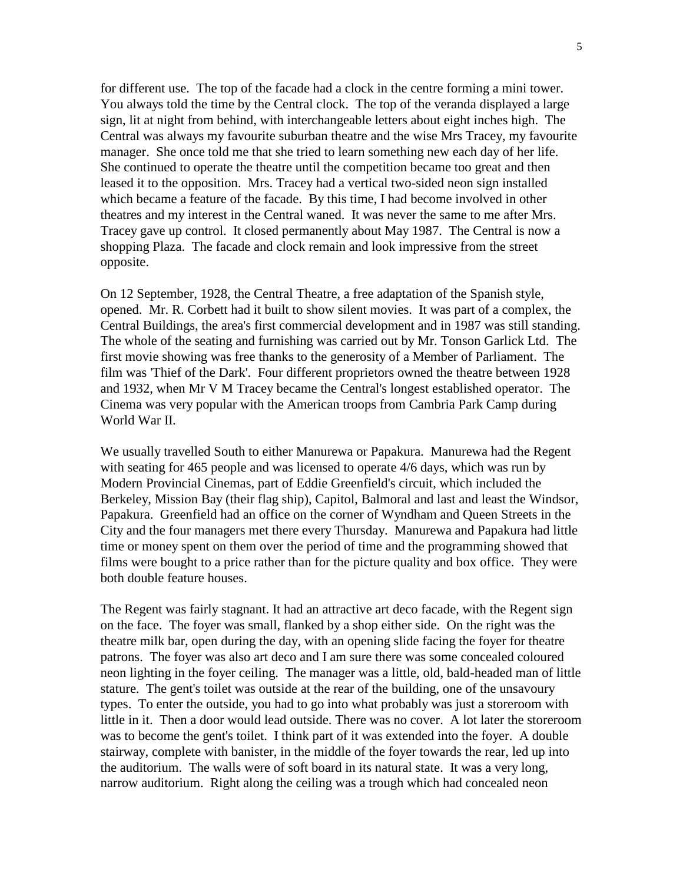for different use. The top of the facade had a clock in the centre forming a mini tower. You always told the time by the Central clock. The top of the veranda displayed a large sign, lit at night from behind, with interchangeable letters about eight inches high. The Central was always my favourite suburban theatre and the wise Mrs Tracey, my favourite manager. She once told me that she tried to learn something new each day of her life. She continued to operate the theatre until the competition became too great and then leased it to the opposition. Mrs. Tracey had a vertical two-sided neon sign installed which became a feature of the facade. By this time, I had become involved in other theatres and my interest in the Central waned. It was never the same to me after Mrs. Tracey gave up control. It closed permanently about May 1987. The Central is now a shopping Plaza. The facade and clock remain and look impressive from the street opposite.

On 12 September, 1928, the Central Theatre, a free adaptation of the Spanish style, opened. Mr. R. Corbett had it built to show silent movies. It was part of a complex, the Central Buildings, the area's first commercial development and in 1987 was still standing. The whole of the seating and furnishing was carried out by Mr. Tonson Garlick Ltd. The first movie showing was free thanks to the generosity of a Member of Parliament. The film was 'Thief of the Dark'. Four different proprietors owned the theatre between 1928 and 1932, when Mr V M Tracey became the Central's longest established operator. The Cinema was very popular with the American troops from Cambria Park Camp during World War II.

We usually travelled South to either Manurewa or Papakura. Manurewa had the Regent with seating for 465 people and was licensed to operate 4/6 days, which was run by Modern Provincial Cinemas, part of Eddie Greenfield's circuit, which included the Berkeley, Mission Bay (their flag ship), Capitol, Balmoral and last and least the Windsor, Papakura. Greenfield had an office on the corner of Wyndham and Queen Streets in the City and the four managers met there every Thursday. Manurewa and Papakura had little time or money spent on them over the period of time and the programming showed that films were bought to a price rather than for the picture quality and box office. They were both double feature houses.

The Regent was fairly stagnant. It had an attractive art deco facade, with the Regent sign on the face. The foyer was small, flanked by a shop either side. On the right was the theatre milk bar, open during the day, with an opening slide facing the foyer for theatre patrons. The foyer was also art deco and I am sure there was some concealed coloured neon lighting in the foyer ceiling. The manager was a little, old, bald-headed man of little stature. The gent's toilet was outside at the rear of the building, one of the unsavoury types. To enter the outside, you had to go into what probably was just a storeroom with little in it. Then a door would lead outside. There was no cover. A lot later the storeroom was to become the gent's toilet. I think part of it was extended into the foyer. A double stairway, complete with banister, in the middle of the foyer towards the rear, led up into the auditorium. The walls were of soft board in its natural state. It was a very long, narrow auditorium. Right along the ceiling was a trough which had concealed neon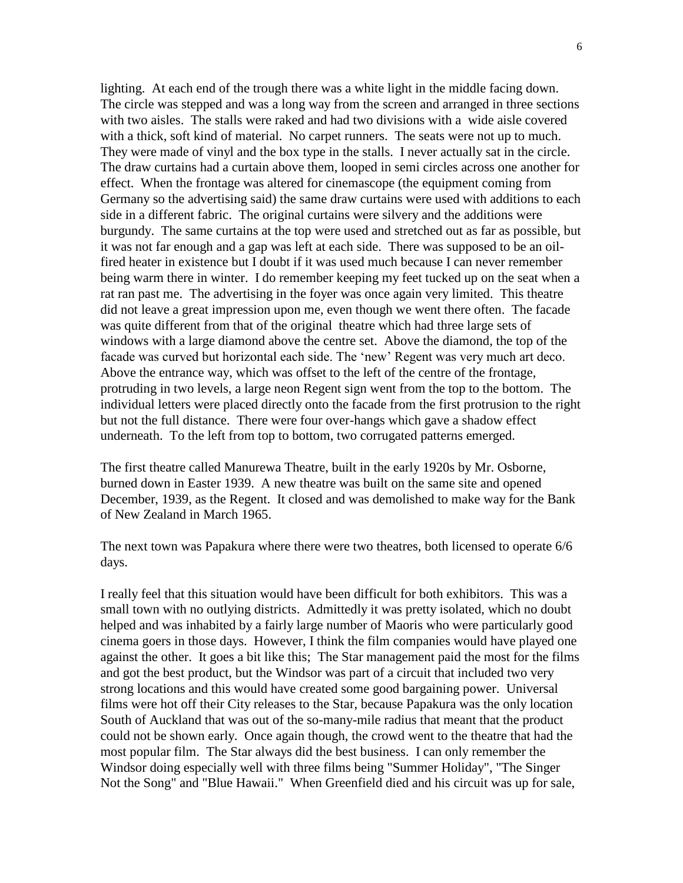lighting. At each end of the trough there was a white light in the middle facing down. The circle was stepped and was a long way from the screen and arranged in three sections with two aisles. The stalls were raked and had two divisions with a wide aisle covered with a thick, soft kind of material. No carpet runners. The seats were not up to much. They were made of vinyl and the box type in the stalls. I never actually sat in the circle. The draw curtains had a curtain above them, looped in semi circles across one another for effect. When the frontage was altered for cinemascope (the equipment coming from Germany so the advertising said) the same draw curtains were used with additions to each side in a different fabric. The original curtains were silvery and the additions were burgundy. The same curtains at the top were used and stretched out as far as possible, but it was not far enough and a gap was left at each side. There was supposed to be an oilfired heater in existence but I doubt if it was used much because I can never remember being warm there in winter. I do remember keeping my feet tucked up on the seat when a rat ran past me. The advertising in the foyer was once again very limited. This theatre did not leave a great impression upon me, even though we went there often. The facade was quite different from that of the original theatre which had three large sets of windows with a large diamond above the centre set. Above the diamond, the top of the facade was curved but horizontal each side. The 'new' Regent was very much art deco. Above the entrance way, which was offset to the left of the centre of the frontage, protruding in two levels, a large neon Regent sign went from the top to the bottom. The individual letters were placed directly onto the facade from the first protrusion to the right but not the full distance. There were four over-hangs which gave a shadow effect underneath. To the left from top to bottom, two corrugated patterns emerged.

The first theatre called Manurewa Theatre, built in the early 1920s by Mr. Osborne, burned down in Easter 1939. A new theatre was built on the same site and opened December, 1939, as the Regent. It closed and was demolished to make way for the Bank of New Zealand in March 1965.

The next town was Papakura where there were two theatres, both licensed to operate 6/6 days.

I really feel that this situation would have been difficult for both exhibitors. This was a small town with no outlying districts. Admittedly it was pretty isolated, which no doubt helped and was inhabited by a fairly large number of Maoris who were particularly good cinema goers in those days. However, I think the film companies would have played one against the other. It goes a bit like this; The Star management paid the most for the films and got the best product, but the Windsor was part of a circuit that included two very strong locations and this would have created some good bargaining power. Universal films were hot off their City releases to the Star, because Papakura was the only location South of Auckland that was out of the so-many-mile radius that meant that the product could not be shown early. Once again though, the crowd went to the theatre that had the most popular film. The Star always did the best business. I can only remember the Windsor doing especially well with three films being "Summer Holiday", "The Singer Not the Song" and "Blue Hawaii." When Greenfield died and his circuit was up for sale,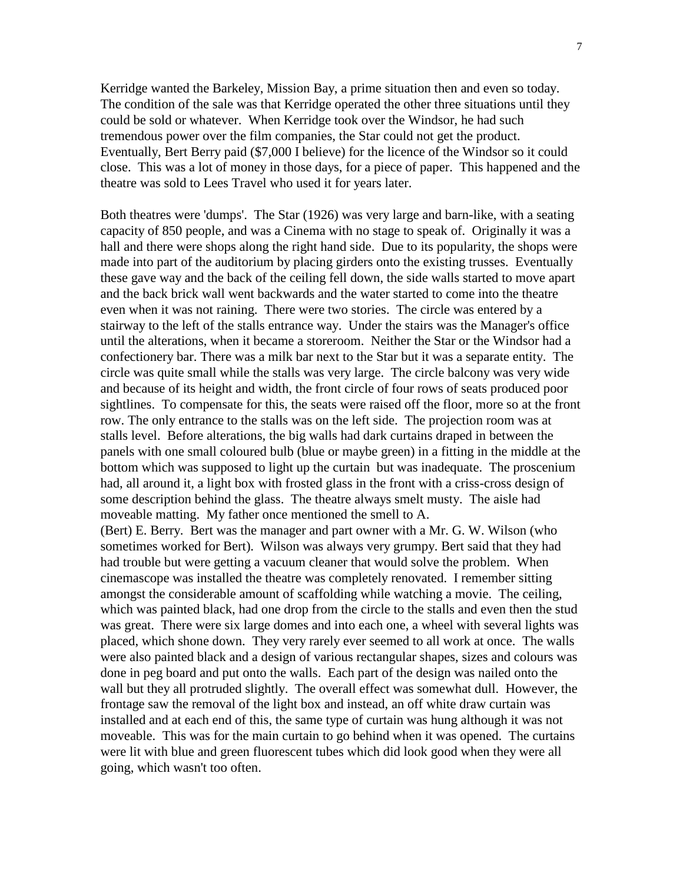Kerridge wanted the Barkeley, Mission Bay, a prime situation then and even so today. The condition of the sale was that Kerridge operated the other three situations until they could be sold or whatever. When Kerridge took over the Windsor, he had such tremendous power over the film companies, the Star could not get the product. Eventually, Bert Berry paid (\$7,000 I believe) for the licence of the Windsor so it could close. This was a lot of money in those days, for a piece of paper. This happened and the theatre was sold to Lees Travel who used it for years later.

Both theatres were 'dumps'. The Star (1926) was very large and barn-like, with a seating capacity of 850 people, and was a Cinema with no stage to speak of. Originally it was a hall and there were shops along the right hand side. Due to its popularity, the shops were made into part of the auditorium by placing girders onto the existing trusses. Eventually these gave way and the back of the ceiling fell down, the side walls started to move apart and the back brick wall went backwards and the water started to come into the theatre even when it was not raining. There were two stories. The circle was entered by a stairway to the left of the stalls entrance way. Under the stairs was the Manager's office until the alterations, when it became a storeroom. Neither the Star or the Windsor had a confectionery bar. There was a milk bar next to the Star but it was a separate entity. The circle was quite small while the stalls was very large. The circle balcony was very wide and because of its height and width, the front circle of four rows of seats produced poor sightlines. To compensate for this, the seats were raised off the floor, more so at the front row. The only entrance to the stalls was on the left side. The projection room was at stalls level. Before alterations, the big walls had dark curtains draped in between the panels with one small coloured bulb (blue or maybe green) in a fitting in the middle at the bottom which was supposed to light up the curtain but was inadequate. The proscenium had, all around it, a light box with frosted glass in the front with a criss-cross design of some description behind the glass. The theatre always smelt musty. The aisle had moveable matting. My father once mentioned the smell to A.

(Bert) E. Berry. Bert was the manager and part owner with a Mr. G. W. Wilson (who sometimes worked for Bert). Wilson was always very grumpy. Bert said that they had had trouble but were getting a vacuum cleaner that would solve the problem. When cinemascope was installed the theatre was completely renovated. I remember sitting amongst the considerable amount of scaffolding while watching a movie. The ceiling, which was painted black, had one drop from the circle to the stalls and even then the stud was great. There were six large domes and into each one, a wheel with several lights was placed, which shone down. They very rarely ever seemed to all work at once. The walls were also painted black and a design of various rectangular shapes, sizes and colours was done in peg board and put onto the walls. Each part of the design was nailed onto the wall but they all protruded slightly. The overall effect was somewhat dull. However, the frontage saw the removal of the light box and instead, an off white draw curtain was installed and at each end of this, the same type of curtain was hung although it was not moveable. This was for the main curtain to go behind when it was opened. The curtains were lit with blue and green fluorescent tubes which did look good when they were all going, which wasn't too often.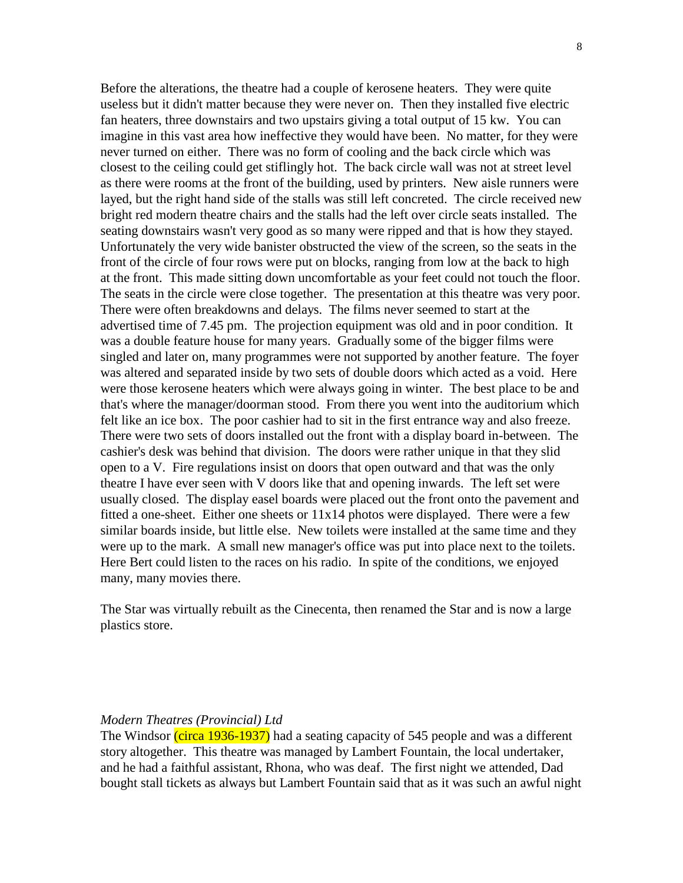Before the alterations, the theatre had a couple of kerosene heaters. They were quite useless but it didn't matter because they were never on. Then they installed five electric fan heaters, three downstairs and two upstairs giving a total output of 15 kw. You can imagine in this vast area how ineffective they would have been. No matter, for they were never turned on either. There was no form of cooling and the back circle which was closest to the ceiling could get stiflingly hot. The back circle wall was not at street level as there were rooms at the front of the building, used by printers. New aisle runners were layed, but the right hand side of the stalls was still left concreted. The circle received new bright red modern theatre chairs and the stalls had the left over circle seats installed. The seating downstairs wasn't very good as so many were ripped and that is how they stayed. Unfortunately the very wide banister obstructed the view of the screen, so the seats in the front of the circle of four rows were put on blocks, ranging from low at the back to high at the front. This made sitting down uncomfortable as your feet could not touch the floor. The seats in the circle were close together. The presentation at this theatre was very poor. There were often breakdowns and delays. The films never seemed to start at the advertised time of 7.45 pm. The projection equipment was old and in poor condition. It was a double feature house for many years. Gradually some of the bigger films were singled and later on, many programmes were not supported by another feature. The foyer was altered and separated inside by two sets of double doors which acted as a void. Here were those kerosene heaters which were always going in winter. The best place to be and that's where the manager/doorman stood. From there you went into the auditorium which felt like an ice box. The poor cashier had to sit in the first entrance way and also freeze. There were two sets of doors installed out the front with a display board in-between. The cashier's desk was behind that division. The doors were rather unique in that they slid open to a V. Fire regulations insist on doors that open outward and that was the only theatre I have ever seen with V doors like that and opening inwards. The left set were usually closed. The display easel boards were placed out the front onto the pavement and fitted a one-sheet. Either one sheets or 11x14 photos were displayed. There were a few similar boards inside, but little else. New toilets were installed at the same time and they were up to the mark. A small new manager's office was put into place next to the toilets. Here Bert could listen to the races on his radio. In spite of the conditions, we enjoyed many, many movies there.

The Star was virtually rebuilt as the Cinecenta, then renamed the Star and is now a large plastics store.

## *Modern Theatres (Provincial) Ltd*

The Windsor (circa 1936-1937) had a seating capacity of 545 people and was a different story altogether. This theatre was managed by Lambert Fountain, the local undertaker, and he had a faithful assistant, Rhona, who was deaf. The first night we attended, Dad bought stall tickets as always but Lambert Fountain said that as it was such an awful night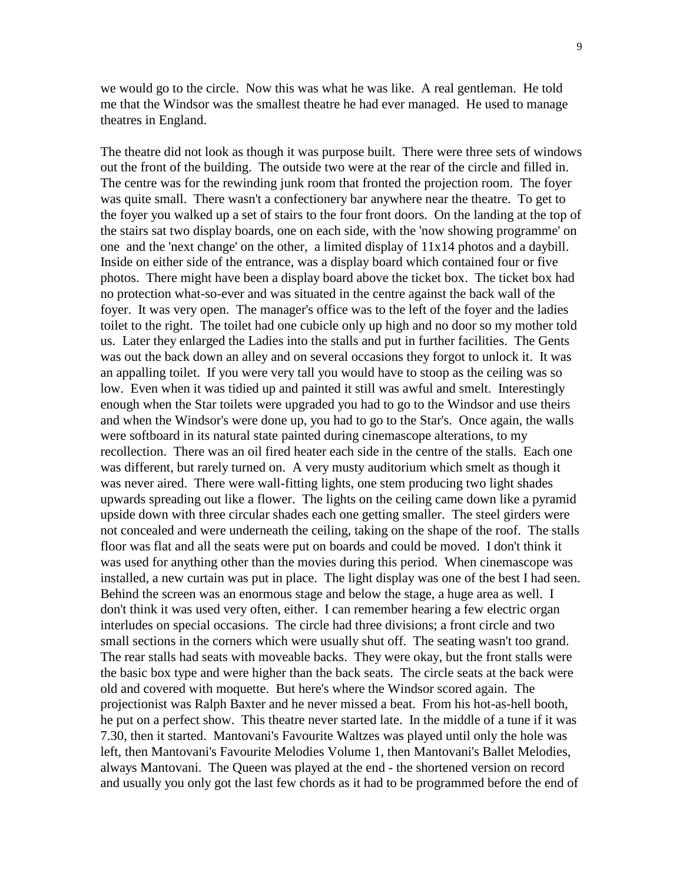we would go to the circle. Now this was what he was like. A real gentleman. He told me that the Windsor was the smallest theatre he had ever managed. He used to manage theatres in England.

The theatre did not look as though it was purpose built. There were three sets of windows out the front of the building. The outside two were at the rear of the circle and filled in. The centre was for the rewinding junk room that fronted the projection room. The foyer was quite small. There wasn't a confectionery bar anywhere near the theatre. To get to the foyer you walked up a set of stairs to the four front doors. On the landing at the top of the stairs sat two display boards, one on each side, with the 'now showing programme' on one and the 'next change' on the other, a limited display of 11x14 photos and a daybill. Inside on either side of the entrance, was a display board which contained four or five photos. There might have been a display board above the ticket box. The ticket box had no protection what-so-ever and was situated in the centre against the back wall of the foyer. It was very open. The manager's office was to the left of the foyer and the ladies toilet to the right. The toilet had one cubicle only up high and no door so my mother told us. Later they enlarged the Ladies into the stalls and put in further facilities. The Gents was out the back down an alley and on several occasions they forgot to unlock it. It was an appalling toilet. If you were very tall you would have to stoop as the ceiling was so low. Even when it was tidied up and painted it still was awful and smelt. Interestingly enough when the Star toilets were upgraded you had to go to the Windsor and use theirs and when the Windsor's were done up, you had to go to the Star's. Once again, the walls were softboard in its natural state painted during cinemascope alterations, to my recollection. There was an oil fired heater each side in the centre of the stalls. Each one was different, but rarely turned on. A very musty auditorium which smelt as though it was never aired. There were wall-fitting lights, one stem producing two light shades upwards spreading out like a flower. The lights on the ceiling came down like a pyramid upside down with three circular shades each one getting smaller. The steel girders were not concealed and were underneath the ceiling, taking on the shape of the roof. The stalls floor was flat and all the seats were put on boards and could be moved. I don't think it was used for anything other than the movies during this period. When cinemascope was installed, a new curtain was put in place. The light display was one of the best I had seen. Behind the screen was an enormous stage and below the stage, a huge area as well. I don't think it was used very often, either. I can remember hearing a few electric organ interludes on special occasions. The circle had three divisions; a front circle and two small sections in the corners which were usually shut off. The seating wasn't too grand. The rear stalls had seats with moveable backs. They were okay, but the front stalls were the basic box type and were higher than the back seats. The circle seats at the back were old and covered with moquette. But here's where the Windsor scored again. The projectionist was Ralph Baxter and he never missed a beat. From his hot-as-hell booth, he put on a perfect show. This theatre never started late. In the middle of a tune if it was 7.30, then it started. Mantovani's Favourite Waltzes was played until only the hole was left, then Mantovani's Favourite Melodies Volume 1, then Mantovani's Ballet Melodies, always Mantovani. The Queen was played at the end - the shortened version on record and usually you only got the last few chords as it had to be programmed before the end of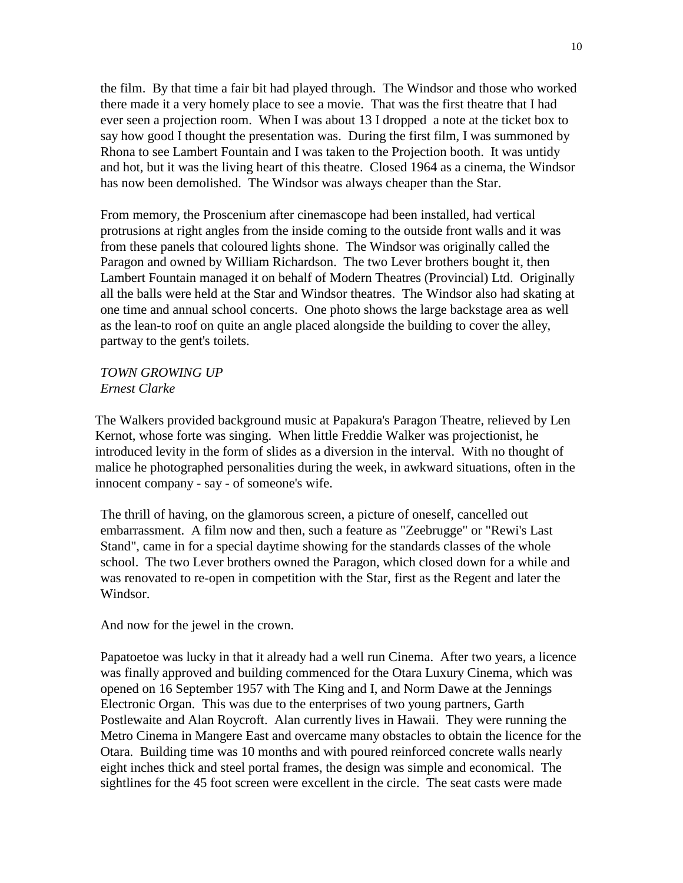the film. By that time a fair bit had played through. The Windsor and those who worked there made it a very homely place to see a movie. That was the first theatre that I had ever seen a projection room. When I was about 13 I dropped a note at the ticket box to say how good I thought the presentation was. During the first film, I was summoned by Rhona to see Lambert Fountain and I was taken to the Projection booth. It was untidy and hot, but it was the living heart of this theatre. Closed 1964 as a cinema, the Windsor has now been demolished. The Windsor was always cheaper than the Star.

From memory, the Proscenium after cinemascope had been installed, had vertical protrusions at right angles from the inside coming to the outside front walls and it was from these panels that coloured lights shone. The Windsor was originally called the Paragon and owned by William Richardson. The two Lever brothers bought it, then Lambert Fountain managed it on behalf of Modern Theatres (Provincial) Ltd. Originally all the balls were held at the Star and Windsor theatres. The Windsor also had skating at one time and annual school concerts. One photo shows the large backstage area as well as the lean-to roof on quite an angle placed alongside the building to cover the alley, partway to the gent's toilets.

*TOWN GROWING UP Ernest Clarke*

The Walkers provided background music at Papakura's Paragon Theatre, relieved by Len Kernot, whose forte was singing. When little Freddie Walker was projectionist, he introduced levity in the form of slides as a diversion in the interval. With no thought of malice he photographed personalities during the week, in awkward situations, often in the innocent company - say - of someone's wife.

The thrill of having, on the glamorous screen, a picture of oneself, cancelled out embarrassment. A film now and then, such a feature as "Zeebrugge" or "Rewi's Last Stand", came in for a special daytime showing for the standards classes of the whole school. The two Lever brothers owned the Paragon, which closed down for a while and was renovated to re-open in competition with the Star, first as the Regent and later the Windsor.

And now for the jewel in the crown.

Papatoetoe was lucky in that it already had a well run Cinema. After two years, a licence was finally approved and building commenced for the Otara Luxury Cinema, which was opened on 16 September 1957 with The King and I, and Norm Dawe at the Jennings Electronic Organ. This was due to the enterprises of two young partners, Garth Postlewaite and Alan Roycroft. Alan currently lives in Hawaii. They were running the Metro Cinema in Mangere East and overcame many obstacles to obtain the licence for the Otara. Building time was 10 months and with poured reinforced concrete walls nearly eight inches thick and steel portal frames, the design was simple and economical. The sightlines for the 45 foot screen were excellent in the circle. The seat casts were made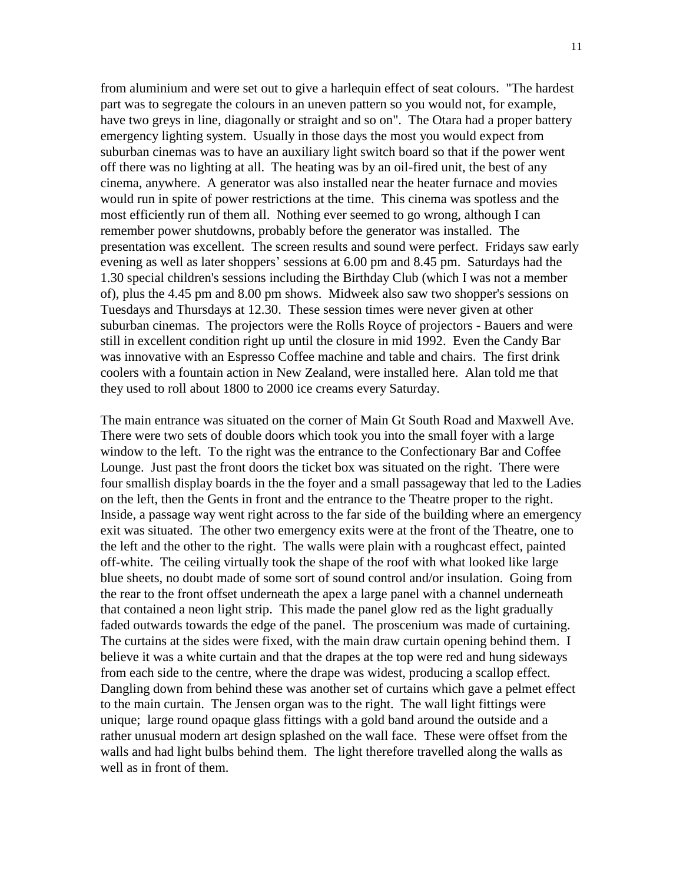from aluminium and were set out to give a harlequin effect of seat colours. "The hardest part was to segregate the colours in an uneven pattern so you would not, for example, have two greys in line, diagonally or straight and so on". The Otara had a proper battery emergency lighting system. Usually in those days the most you would expect from suburban cinemas was to have an auxiliary light switch board so that if the power went off there was no lighting at all. The heating was by an oil-fired unit, the best of any cinema, anywhere. A generator was also installed near the heater furnace and movies would run in spite of power restrictions at the time. This cinema was spotless and the most efficiently run of them all. Nothing ever seemed to go wrong, although I can remember power shutdowns, probably before the generator was installed. The presentation was excellent. The screen results and sound were perfect. Fridays saw early evening as well as later shoppers' sessions at 6.00 pm and 8.45 pm. Saturdays had the 1.30 special children's sessions including the Birthday Club (which I was not a member of), plus the 4.45 pm and 8.00 pm shows. Midweek also saw two shopper's sessions on Tuesdays and Thursdays at 12.30. These session times were never given at other suburban cinemas. The projectors were the Rolls Royce of projectors - Bauers and were still in excellent condition right up until the closure in mid 1992. Even the Candy Bar was innovative with an Espresso Coffee machine and table and chairs. The first drink coolers with a fountain action in New Zealand, were installed here. Alan told me that they used to roll about 1800 to 2000 ice creams every Saturday.

The main entrance was situated on the corner of Main Gt South Road and Maxwell Ave. There were two sets of double doors which took you into the small foyer with a large window to the left. To the right was the entrance to the Confectionary Bar and Coffee Lounge. Just past the front doors the ticket box was situated on the right. There were four smallish display boards in the the foyer and a small passageway that led to the Ladies on the left, then the Gents in front and the entrance to the Theatre proper to the right. Inside, a passage way went right across to the far side of the building where an emergency exit was situated. The other two emergency exits were at the front of the Theatre, one to the left and the other to the right. The walls were plain with a roughcast effect, painted off-white. The ceiling virtually took the shape of the roof with what looked like large blue sheets, no doubt made of some sort of sound control and/or insulation. Going from the rear to the front offset underneath the apex a large panel with a channel underneath that contained a neon light strip. This made the panel glow red as the light gradually faded outwards towards the edge of the panel. The proscenium was made of curtaining. The curtains at the sides were fixed, with the main draw curtain opening behind them. I believe it was a white curtain and that the drapes at the top were red and hung sideways from each side to the centre, where the drape was widest, producing a scallop effect. Dangling down from behind these was another set of curtains which gave a pelmet effect to the main curtain. The Jensen organ was to the right. The wall light fittings were unique; large round opaque glass fittings with a gold band around the outside and a rather unusual modern art design splashed on the wall face. These were offset from the walls and had light bulbs behind them. The light therefore travelled along the walls as well as in front of them.